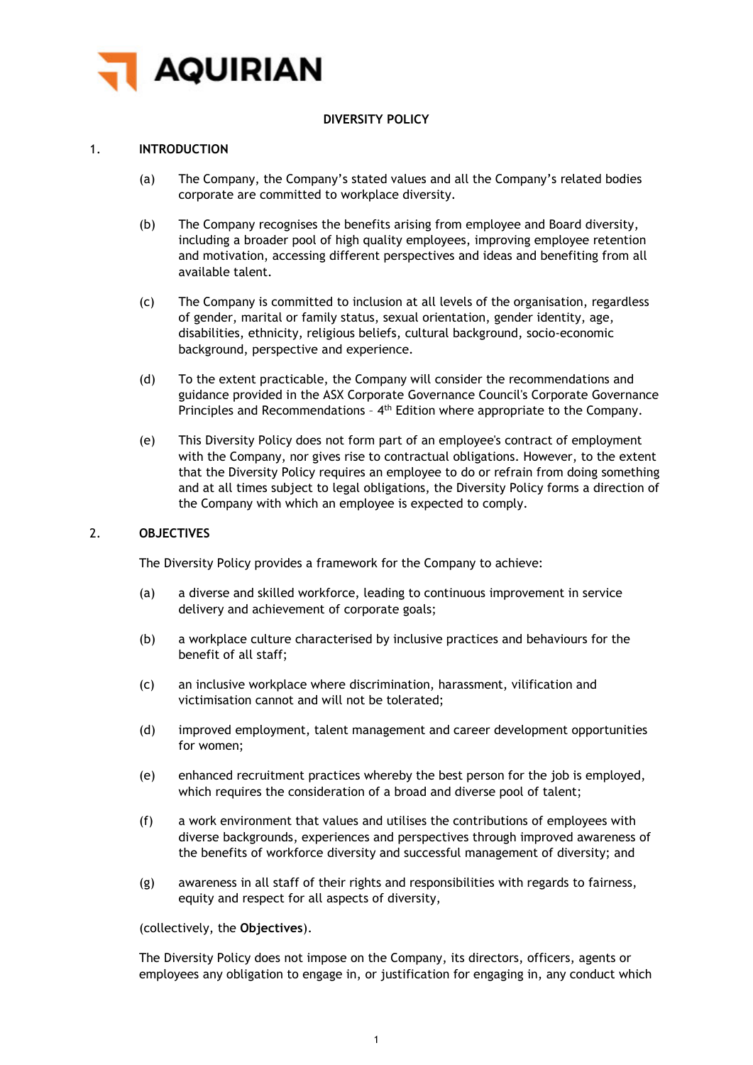

## **DIVERSITY POLICY**

## 1. **INTRODUCTION**

- (a) The Company, the Company's stated values and all the Company's related bodies corporate are committed to workplace diversity.
- (b) The Company recognises the benefits arising from employee and Board diversity, including a broader pool of high quality employees, improving employee retention and motivation, accessing different perspectives and ideas and benefiting from all available talent.
- (c) The Company is committed to inclusion at all levels of the organisation, regardless of gender, marital or family status, sexual orientation, gender identity, age, disabilities, ethnicity, religious beliefs, cultural background, socio-economic background, perspective and experience.
- (d) To the extent practicable, the Company will consider the recommendations and guidance provided in the ASX Corporate Governance Council's Corporate Governance Principles and Recommendations - 4<sup>th</sup> Edition where appropriate to the Company.
- (e) This Diversity Policy does not form part of an employee's contract of employment with the Company, nor gives rise to contractual obligations. However, to the extent that the Diversity Policy requires an employee to do or refrain from doing something and at all times subject to legal obligations, the Diversity Policy forms a direction of the Company with which an employee is expected to comply.

### 2. **OBJECTIVES**

The Diversity Policy provides a framework for the Company to achieve:

- (a) a diverse and skilled workforce, leading to continuous improvement in service delivery and achievement of corporate goals;
- (b) a workplace culture characterised by inclusive practices and behaviours for the benefit of all staff;
- (c) an inclusive workplace where discrimination, harassment, vilification and victimisation cannot and will not be tolerated;
- (d) improved employment, talent management and career development opportunities for women;
- (e) enhanced recruitment practices whereby the best person for the job is employed, which requires the consideration of a broad and diverse pool of talent;
- (f) a work environment that values and utilises the contributions of employees with diverse backgrounds, experiences and perspectives through improved awareness of the benefits of workforce diversity and successful management of diversity; and
- (g) awareness in all staff of their rights and responsibilities with regards to fairness, equity and respect for all aspects of diversity,

(collectively, the **Objectives**).

The Diversity Policy does not impose on the Company, its directors, officers, agents or employees any obligation to engage in, or justification for engaging in, any conduct which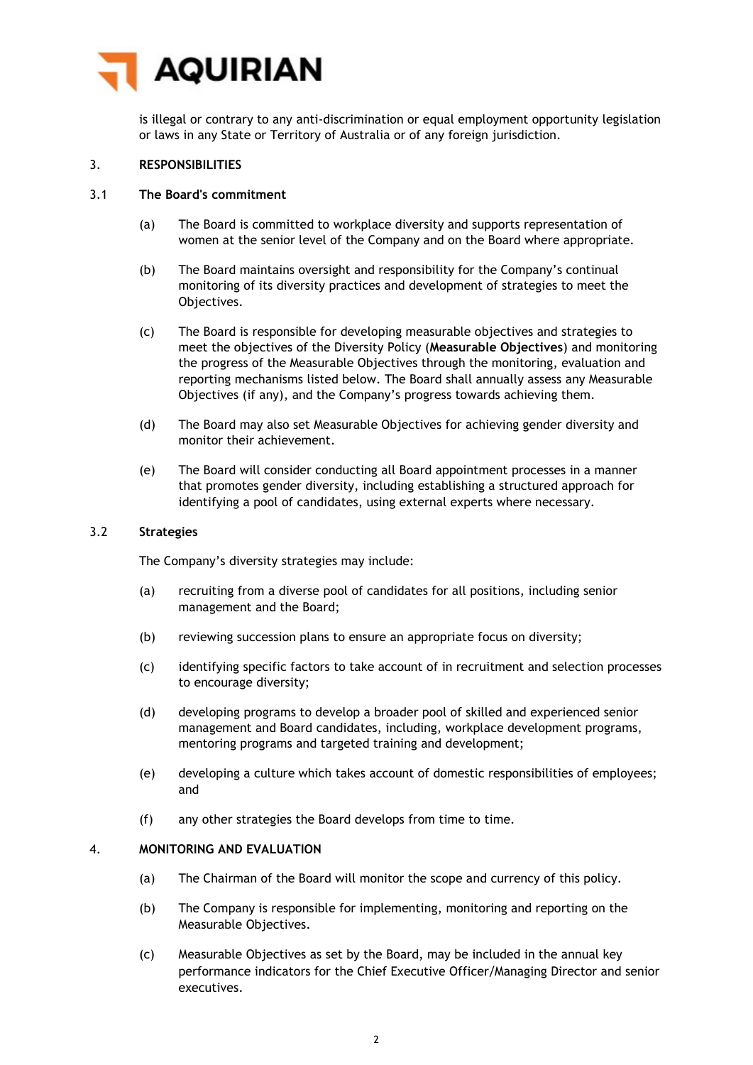

is illegal or contrary to any anti-discrimination or equal employment opportunity legislation or laws in any State or Territory of Australia or of any foreign jurisdiction.

## 3. **RESPONSIBILITIES**

### 3.1 **The Board's commitment**

- (a) The Board is committed to workplace diversity and supports representation of women at the senior level of the Company and on the Board where appropriate.
- (b) The Board maintains oversight and responsibility for the Company's continual monitoring of its diversity practices and development of strategies to meet the Objectives.
- (c) The Board is responsible for developing measurable objectives and strategies to meet the objectives of the Diversity Policy (**Measurable Objectives**) and monitoring the progress of the Measurable Objectives through the monitoring, evaluation and reporting mechanisms listed below. The Board shall annually assess any Measurable Objectives (if any), and the Company's progress towards achieving them.
- (d) The Board may also set Measurable Objectives for achieving gender diversity and monitor their achievement.
- (e) The Board will consider conducting all Board appointment processes in a manner that promotes gender diversity, including establishing a structured approach for identifying a pool of candidates, using external experts where necessary.

#### 3.2 **Strategies**

The Company's diversity strategies may include:

- (a) recruiting from a diverse pool of candidates for all positions, including senior management and the Board;
- (b) reviewing succession plans to ensure an appropriate focus on diversity;
- (c) identifying specific factors to take account of in recruitment and selection processes to encourage diversity;
- (d) developing programs to develop a broader pool of skilled and experienced senior management and Board candidates, including, workplace development programs, mentoring programs and targeted training and development;
- (e) developing a culture which takes account of domestic responsibilities of employees; and
- (f) any other strategies the Board develops from time to time.

## 4. **MONITORING AND EVALUATION**

- (a) The Chairman of the Board will monitor the scope and currency of this policy.
- (b) The Company is responsible for implementing, monitoring and reporting on the Measurable Objectives.
- (c) Measurable Objectives as set by the Board, may be included in the annual key performance indicators for the Chief Executive Officer/Managing Director and senior executives.